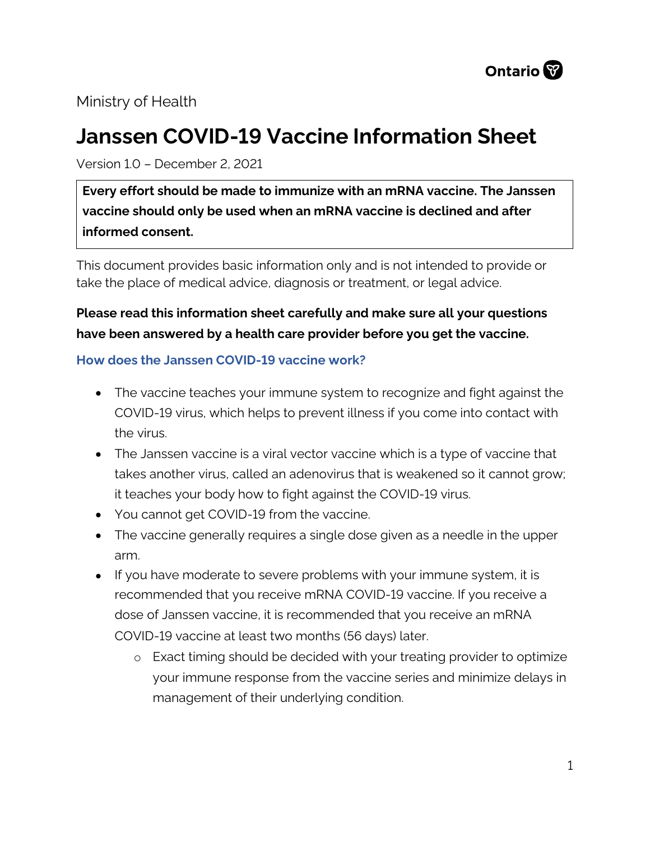

# Ministry of Health

# **Janssen COVID-19 Vaccine Information Sheet**

Version 1.0 – December 2, 2021

**Every effort should be made to immunize with an mRNA vaccine. The Janssen vaccine should only be used when an mRNA vaccine is declined and after informed consent.**

This document provides basic information only and is not intended to provide or take the place of medical advice, diagnosis or treatment, or legal advice.

**Please read this information sheet carefully and make sure all your questions have been answered by a health care provider before you get the vaccine.**

#### **How does the Janssen COVID-19 vaccine work?**

- The vaccine teaches your immune system to recognize and fight against the COVID-19 virus, which helps to prevent illness if you come into contact with the virus.
- The Janssen vaccine is a viral vector vaccine which is a type of vaccine that takes another virus, called an adenovirus that is weakened so it cannot grow; it teaches your body how to fight against the COVID-19 virus.
- You cannot get COVID-19 from the vaccine.
- The vaccine generally requires a single dose given as a needle in the upper arm.
- If you have moderate to severe problems with your immune system, it is recommended that you receive mRNA COVID-19 vaccine. If you receive a dose of Janssen vaccine, it is recommended that you receive an mRNA COVID-19 vaccine at least two months (56 days) later.
	- o Exact timing should be decided with your treating provider to optimize your immune response from the vaccine series and minimize delays in management of their underlying condition.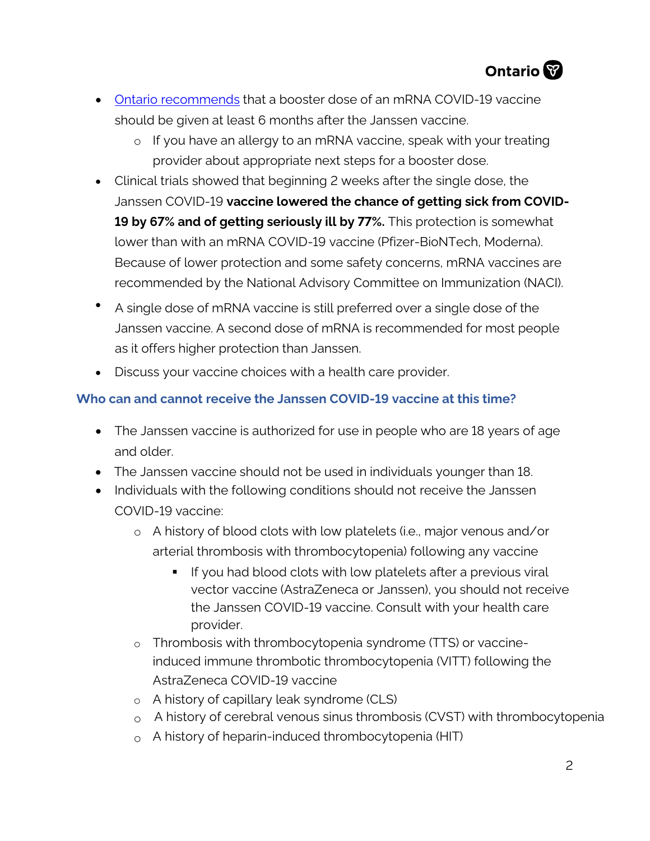

- [Ontario recommends](https://www.health.gov.on.ca/en/pro/programs/publichealth/coronavirus/docs/vaccine/COVID-19_vaccine_third_dose_recommendations.pdf) that a booster dose of an mRNA COVID-19 vaccine should be given at least 6 months after the Janssen vaccine.
	- o If you have an allergy to an mRNA vaccine, speak with your treating provider about appropriate next steps for a booster dose.
- Clinical trials showed that beginning 2 weeks after the single dose, the Janssen COVID-19 **vaccine lowered the chance of getting sick from COVID-19 by 67% and of getting seriously ill by 77%.** This protection is somewhat lower than with an mRNA COVID-19 vaccine (Pfizer-BioNTech, Moderna). Because of lower protection and some safety concerns, mRNA vaccines are recommended by the National Advisory Committee on Immunization (NACI).
- A single dose of mRNA vaccine is still preferred over a single dose of the Janssen vaccine. A second dose of mRNA is recommended for most people as it offers higher protection than Janssen.
- Discuss your vaccine choices with a health care provider.

## **Who can and cannot receive the Janssen COVID-19 vaccine at this time?**

- The Janssen vaccine is authorized for use in people who are 18 years of age and older.
- The Janssen vaccine should not be used in individuals younger than 18.
- Individuals with the following conditions should not receive the Janssen COVID-19 vaccine:
	- o A history of blood clots with low platelets (i.e., major venous and/or arterial thrombosis with thrombocytopenia) following any vaccine
		- **If you had blood clots with low platelets after a previous viral** vector vaccine (AstraZeneca or Janssen), you should not receive the Janssen COVID-19 vaccine. Consult with your health care provider.
	- o Thrombosis with thrombocytopenia syndrome (TTS) or vaccineinduced immune thrombotic thrombocytopenia (VITT) following the AstraZeneca COVID-19 vaccine
	- o A history of capillary leak syndrome (CLS)
	- $\circ$  A history of cerebral venous sinus thrombosis (CVST) with thrombocytopenia
	- $\circ$  A history of heparin-induced thrombocytopenia (HIT)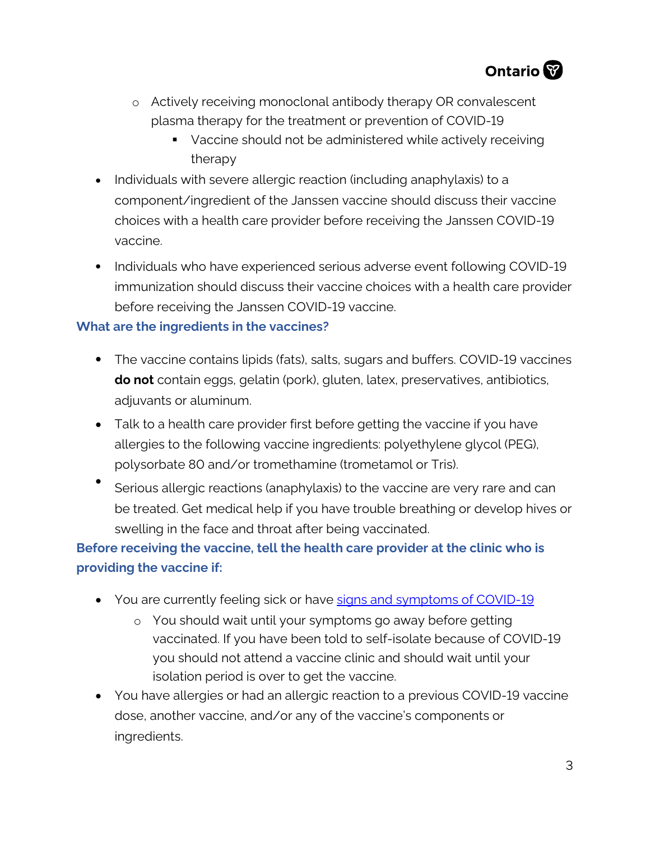

- o Actively receiving monoclonal antibody therapy OR convalescent plasma therapy for the treatment or prevention of COVID-19
	- Vaccine should not be administered while actively receiving therapy
- Individuals with severe allergic reaction (including anaphylaxis) to a component/ingredient of the Janssen vaccine should discuss their vaccine choices with a health care provider before receiving the Janssen COVID-19 vaccine.
- Individuals who have experienced serious adverse event following COVID-19 immunization should discuss their vaccine choices with a health care provider before receiving the Janssen COVID-19 vaccine.

## **What are the ingredients in the vaccines?**

- The vaccine contains lipids (fats), salts, sugars and buffers. COVID-19 vaccines **do not** contain eggs, gelatin (pork), gluten, latex, preservatives, antibiotics, adjuvants or aluminum.
- Talk to a health care provider first before getting the vaccine if you have allergies to the following vaccine ingredients: polyethylene glycol (PEG), polysorbate 80 and/or tromethamine (trometamol or Tris).
- Serious allergic reactions (anaphylaxis) to the vaccine are very rare and can be treated. Get medical help if you have trouble breathing or develop hives or swelling in the face and throat after being vaccinated.

# **Before receiving the vaccine, tell the heal[th care provider at the clinic who i](https://www.publichealthontario.ca/en/diseases-and-conditions/infectious-diseases/respiratory-diseases/novel-coronavirus/about-covid-19)s providing the vaccine if:**

- You are currently feeling sick or have signs and symptoms of COVID-19
	- o You should wait until your symptoms go away before getting vaccinated. If you have been told to self-isolate because of COVID-19 you should not attend a vaccine clinic and should wait until your isolation period is over to get the vaccine.
- You have allergies or had an allergic reaction to a previous COVID-19 vaccine dose, another vaccine, and/or any of the vaccine's components or ingredients.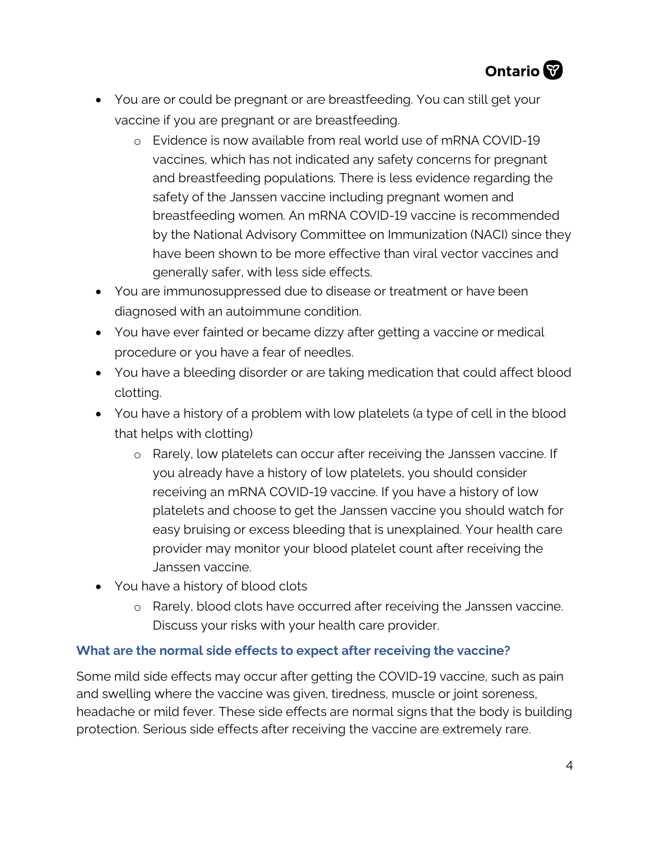

- You are or could be pregnant or are breastfeeding. You can still get your vaccine if you are pregnant or are breastfeeding.
	- o Evidence is now available from real world use of mRNA COVID-19 vaccines, which has not indicated any safety concerns for pregnant and breastfeeding populations. There is less evidence regarding the safety of the Janssen vaccine including pregnant women and breastfeeding women. An mRNA COVID-19 vaccine is recommended by the National Advisory Committee on Immunization (NACI) since they have been shown to be more effective than viral vector vaccines and generally safer, with less side effects.
- You are immunosuppressed due to disease or treatment or have been diagnosed with an autoimmune condition.
- You have ever fainted or became dizzy after getting a vaccine or medical procedure or you have a fear of needles.
- You have a bleeding disorder or are taking medication that could affect blood clotting.
- You have a history of a problem with low platelets (a type of cell in the blood that helps with clotting)
	- o Rarely, low platelets can occur after receiving the Janssen vaccine. If you already have a history of low platelets, you should consider receiving an mRNA COVID-19 vaccine. If you have a history of low platelets and choose to get the Janssen vaccine you should watch for easy bruising or excess bleeding that is unexplained. Your health care provider may monitor your blood platelet count after receiving the Janssen vaccine.
- You have a history of blood clots
	- o Rarely, blood clots have occurred after receiving the Janssen vaccine. Discuss your risks with your health care provider.

#### **What are the normal side effects to expect after receiving the vaccine?**

Some mild side effects may occur after getting the COVID-19 vaccine, such as pain and swelling where the vaccine was given, tiredness, muscle or joint soreness, headache or mild fever. These side effects are normal signs that the body is building protection. Serious side effects after receiving the vaccine are extremely rare.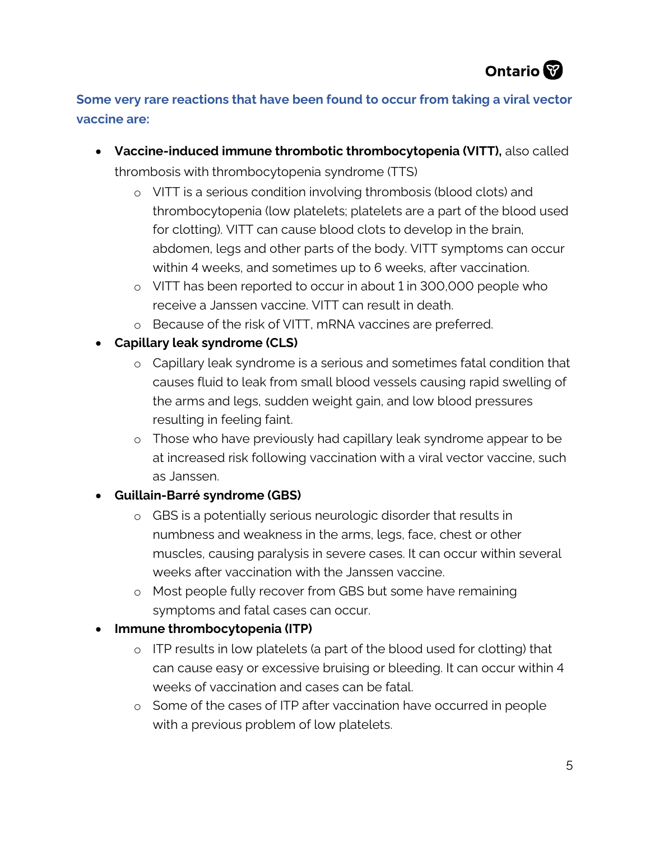# **Some very rare reactions that have been found to occur from taking a viral vector vaccine are:**

- **Vaccine-induced immune thrombotic thrombocytopenia (VITT),** also called thrombosis with thrombocytopenia syndrome (TTS)
	- o VITT is a serious condition involving thrombosis (blood clots) and thrombocytopenia (low platelets; platelets are a part of the blood used for clotting). VITT can cause blood clots to develop in the brain, abdomen, legs and other parts of the body. VITT symptoms can occur within 4 weeks, and sometimes up to 6 weeks, after vaccination.
	- o VITT has been reported to occur in about 1 in 300,000 people who receive a Janssen vaccine. VITT can result in death.
	- o Because of the risk of VITT, mRNA vaccines are preferred.
- **Capillary leak syndrome (CLS)**
	- o Capillary leak syndrome is a serious and sometimes fatal condition that causes fluid to leak from small blood vessels causing rapid swelling of the arms and legs, sudden weight gain, and low blood pressures resulting in feeling faint.
	- o Those who have previously had capillary leak syndrome appear to be at increased risk following vaccination with a viral vector vaccine, such as Janssen.

# • **Guillain-Barré syndrome (GBS)**

- o GBS is a potentially serious neurologic disorder that results in numbness and weakness in the arms, legs, face, chest or other muscles, causing paralysis in severe cases. It can occur within several weeks after vaccination with the Janssen vaccine.
- o Most people fully recover from GBS but some have remaining symptoms and fatal cases can occur.
- **Immune thrombocytopenia (ITP)**
	- o ITP results in low platelets (a part of the blood used for clotting) that can cause easy or excessive bruising or bleeding. It can occur within 4 weeks of vaccination and cases can be fatal.
	- o Some of the cases of ITP after vaccination have occurred in people with a previous problem of low platelets.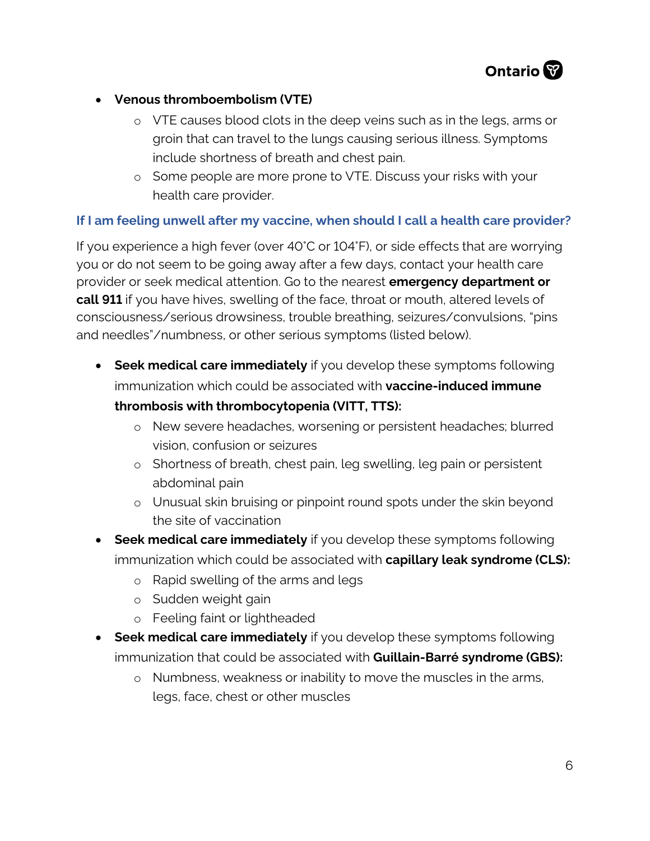

- **Venous thromboembolism (VTE)**
	- o VTE causes blood clots in the deep veins such as in the legs, arms or groin that can travel to the lungs causing serious illness. Symptoms include shortness of breath and chest pain.
	- o Some people are more prone to VTE. Discuss your risks with your health care provider.

## **If I am feeling unwell after my vaccine, when should I call a health care provider?**

If you experience a high fever (over 40°C or 104°F), or side effects that are worrying you or do not seem to be going away after a few days, contact your health care provider or seek medical attention. Go to the nearest **emergency department or call 911** if you have hives, swelling of the face, throat or mouth, altered levels of consciousness/serious drowsiness, trouble breathing, seizures/convulsions, "pins and needles"/numbness, or other serious symptoms (listed below).

• **Seek medical care immediately** if you develop these symptoms following immunization which could be associated with **vaccine-induced immune** 

## **thrombosis with thrombocytopenia (VITT, TTS):**

- o New severe headaches, worsening or persistent headaches; blurred vision, confusion or seizures
- o Shortness of breath, chest pain, leg swelling, leg pain or persistent abdominal pain
- o Unusual skin bruising or pinpoint round spots under the skin beyond the site of vaccination
- **Seek medical care immediately** if you develop these symptoms following immunization which could be associated with **capillary leak syndrome (CLS):**
	- o Rapid swelling of the arms and legs
	- o Sudden weight gain
	- o Feeling faint or lightheaded
- **Seek medical care immediately** if you develop these symptoms following immunization that could be associated with **Guillain-Barré syndrome (GBS):**
	- o Numbness, weakness or inability to move the muscles in the arms, legs, face, chest or other muscles